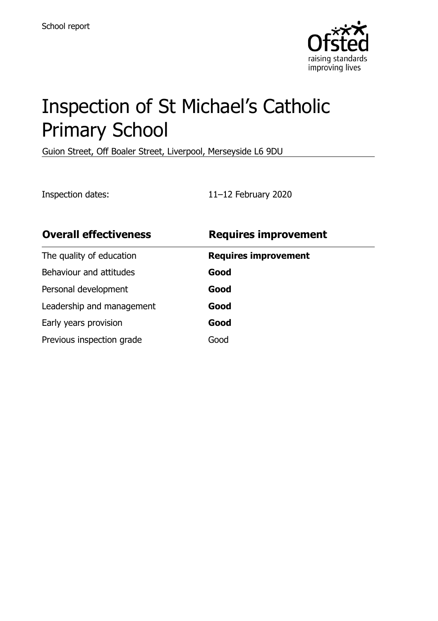

# Inspection of St Michael's Catholic Primary School

Guion Street, Off Boaler Street, Liverpool, Merseyside L6 9DU

Inspection dates: 11–12 February 2020

| <b>Overall effectiveness</b> | <b>Requires improvement</b> |
|------------------------------|-----------------------------|
| The quality of education     | <b>Requires improvement</b> |
| Behaviour and attitudes      | Good                        |
| Personal development         | Good                        |
| Leadership and management    | Good                        |
| Early years provision        | Good                        |
| Previous inspection grade    | Good                        |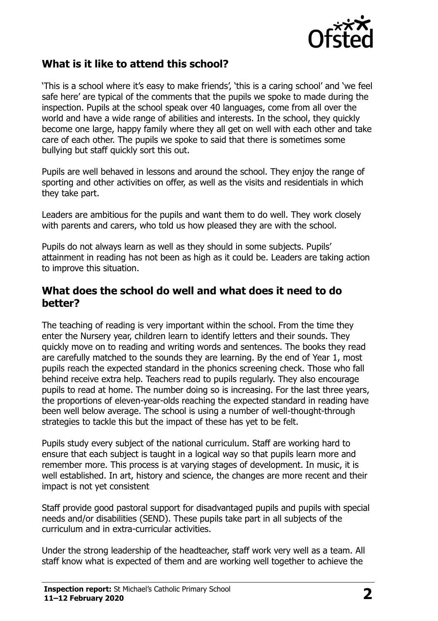

#### **What is it like to attend this school?**

'This is a school where it's easy to make friends', 'this is a caring school' and 'we feel safe here' are typical of the comments that the pupils we spoke to made during the inspection. Pupils at the school speak over 40 languages, come from all over the world and have a wide range of abilities and interests. In the school, they quickly become one large, happy family where they all get on well with each other and take care of each other. The pupils we spoke to said that there is sometimes some bullying but staff quickly sort this out.

Pupils are well behaved in lessons and around the school. They enjoy the range of sporting and other activities on offer, as well as the visits and residentials in which they take part.

Leaders are ambitious for the pupils and want them to do well. They work closely with parents and carers, who told us how pleased they are with the school.

Pupils do not always learn as well as they should in some subjects. Pupils' attainment in reading has not been as high as it could be. Leaders are taking action to improve this situation.

#### **What does the school do well and what does it need to do better?**

The teaching of reading is very important within the school. From the time they enter the Nursery year, children learn to identify letters and their sounds. They quickly move on to reading and writing words and sentences. The books they read are carefully matched to the sounds they are learning. By the end of Year 1, most pupils reach the expected standard in the phonics screening check. Those who fall behind receive extra help. Teachers read to pupils regularly. They also encourage pupils to read at home. The number doing so is increasing. For the last three years, the proportions of eleven-year-olds reaching the expected standard in reading have been well below average. The school is using a number of well-thought-through strategies to tackle this but the impact of these has yet to be felt.

Pupils study every subject of the national curriculum. Staff are working hard to ensure that each subject is taught in a logical way so that pupils learn more and remember more. This process is at varying stages of development. In music, it is well established. In art, history and science, the changes are more recent and their impact is not yet consistent

Staff provide good pastoral support for disadvantaged pupils and pupils with special needs and/or disabilities (SEND). These pupils take part in all subjects of the curriculum and in extra-curricular activities.

Under the strong leadership of the headteacher, staff work very well as a team. All staff know what is expected of them and are working well together to achieve the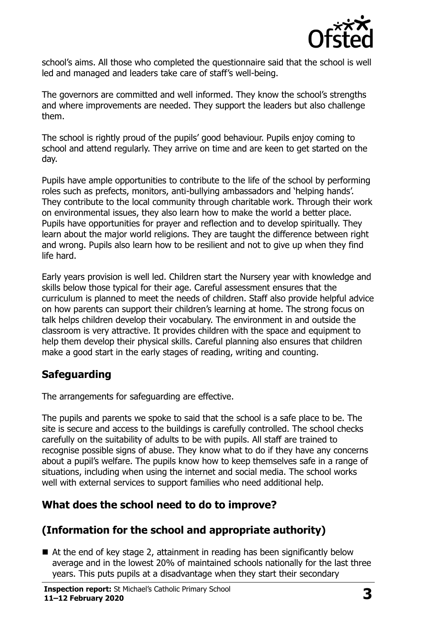

school's aims. All those who completed the questionnaire said that the school is well led and managed and leaders take care of staff's well-being.

The governors are committed and well informed. They know the school's strengths and where improvements are needed. They support the leaders but also challenge them.

The school is rightly proud of the pupils' good behaviour. Pupils enjoy coming to school and attend regularly. They arrive on time and are keen to get started on the day.

Pupils have ample opportunities to contribute to the life of the school by performing roles such as prefects, monitors, anti-bullying ambassadors and 'helping hands'. They contribute to the local community through charitable work. Through their work on environmental issues, they also learn how to make the world a better place. Pupils have opportunities for prayer and reflection and to develop spiritually. They learn about the major world religions. They are taught the difference between right and wrong. Pupils also learn how to be resilient and not to give up when they find life hard.

Early years provision is well led. Children start the Nursery year with knowledge and skills below those typical for their age. Careful assessment ensures that the curriculum is planned to meet the needs of children. Staff also provide helpful advice on how parents can support their children's learning at home. The strong focus on talk helps children develop their vocabulary. The environment in and outside the classroom is very attractive. It provides children with the space and equipment to help them develop their physical skills. Careful planning also ensures that children make a good start in the early stages of reading, writing and counting.

## **Safeguarding**

The arrangements for safeguarding are effective.

The pupils and parents we spoke to said that the school is a safe place to be. The site is secure and access to the buildings is carefully controlled. The school checks carefully on the suitability of adults to be with pupils. All staff are trained to recognise possible signs of abuse. They know what to do if they have any concerns about a pupil's welfare. The pupils know how to keep themselves safe in a range of situations, including when using the internet and social media. The school works well with external services to support families who need additional help.

## **What does the school need to do to improve?**

## **(Information for the school and appropriate authority)**

■ At the end of key stage 2, attainment in reading has been significantly below average and in the lowest 20% of maintained schools nationally for the last three years. This puts pupils at a disadvantage when they start their secondary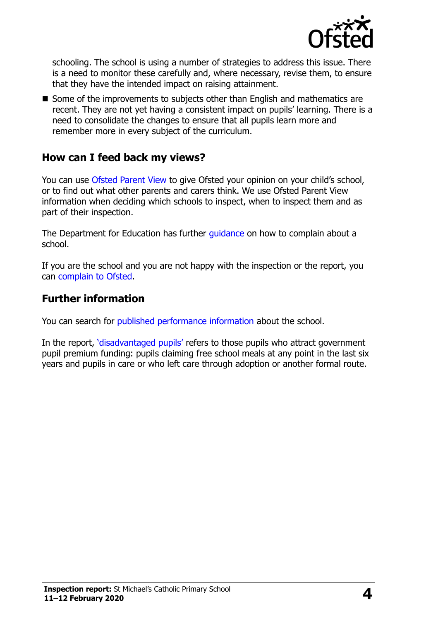

schooling. The school is using a number of strategies to address this issue. There is a need to monitor these carefully and, where necessary, revise them, to ensure that they have the intended impact on raising attainment.

■ Some of the improvements to subjects other than English and mathematics are recent. They are not yet having a consistent impact on pupils' learning. There is a need to consolidate the changes to ensure that all pupils learn more and remember more in every subject of the curriculum.

#### **How can I feed back my views?**

You can use [Ofsted Parent View](http://parentview.ofsted.gov.uk/) to give Ofsted your opinion on your child's school, or to find out what other parents and carers think. We use Ofsted Parent View information when deciding which schools to inspect, when to inspect them and as part of their inspection.

The Department for Education has further quidance on how to complain about a school.

If you are the school and you are not happy with the inspection or the report, you can [complain to Ofsted.](http://www.gov.uk/complain-ofsted-report)

#### **Further information**

You can search for [published performance information](http://www.compare-school-performance.service.gov.uk/) about the school.

In the report, '[disadvantaged pupils](http://www.gov.uk/guidance/pupil-premium-information-for-schools-and-alternative-provision-settings)' refers to those pupils who attract government pupil premium funding: pupils claiming free school meals at any point in the last six years and pupils in care or who left care through adoption or another formal route.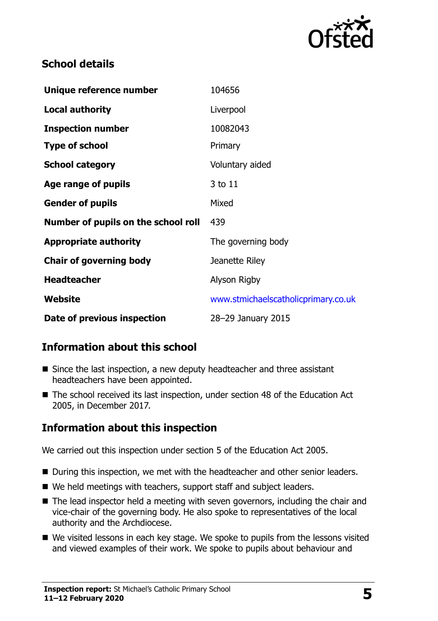

#### **School details**

| Unique reference number             | 104656                              |
|-------------------------------------|-------------------------------------|
| <b>Local authority</b>              | Liverpool                           |
| <b>Inspection number</b>            | 10082043                            |
| <b>Type of school</b>               | Primary                             |
| <b>School category</b>              | Voluntary aided                     |
| Age range of pupils                 | 3 to 11                             |
| <b>Gender of pupils</b>             | Mixed                               |
| Number of pupils on the school roll | 439                                 |
| <b>Appropriate authority</b>        | The governing body                  |
| <b>Chair of governing body</b>      | Jeanette Riley                      |
| <b>Headteacher</b>                  | Alyson Rigby                        |
| Website                             | www.stmichaelscatholicprimary.co.uk |
| Date of previous inspection         | 28-29 January 2015                  |

### **Information about this school**

- Since the last inspection, a new deputy headteacher and three assistant headteachers have been appointed.
- The school received its last inspection, under section 48 of the Education Act 2005, in December 2017.

### **Information about this inspection**

We carried out this inspection under section 5 of the Education Act 2005.

- During this inspection, we met with the headteacher and other senior leaders.
- We held meetings with teachers, support staff and subject leaders.
- The lead inspector held a meeting with seven governors, including the chair and vice-chair of the governing body. He also spoke to representatives of the local authority and the Archdiocese.
- We visited lessons in each key stage. We spoke to pupils from the lessons visited and viewed examples of their work. We spoke to pupils about behaviour and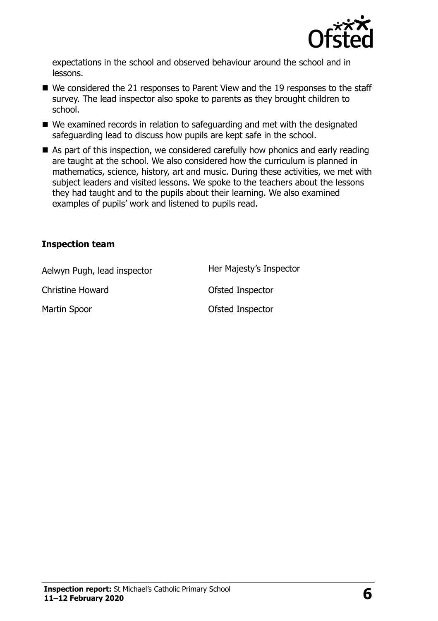

expectations in the school and observed behaviour around the school and in lessons.

- We considered the 21 responses to Parent View and the 19 responses to the staff survey. The lead inspector also spoke to parents as they brought children to school.
- We examined records in relation to safeguarding and met with the designated safeguarding lead to discuss how pupils are kept safe in the school.
- As part of this inspection, we considered carefully how phonics and early reading are taught at the school. We also considered how the curriculum is planned in mathematics, science, history, art and music. During these activities, we met with subject leaders and visited lessons. We spoke to the teachers about the lessons they had taught and to the pupils about their learning. We also examined examples of pupils' work and listened to pupils read.

#### **Inspection team**

| Aelwyn Pugh, lead inspector | Her Majesty's Inspector |
|-----------------------------|-------------------------|
| <b>Christine Howard</b>     | Ofsted Inspector        |
| Martin Spoor                | Ofsted Inspector        |